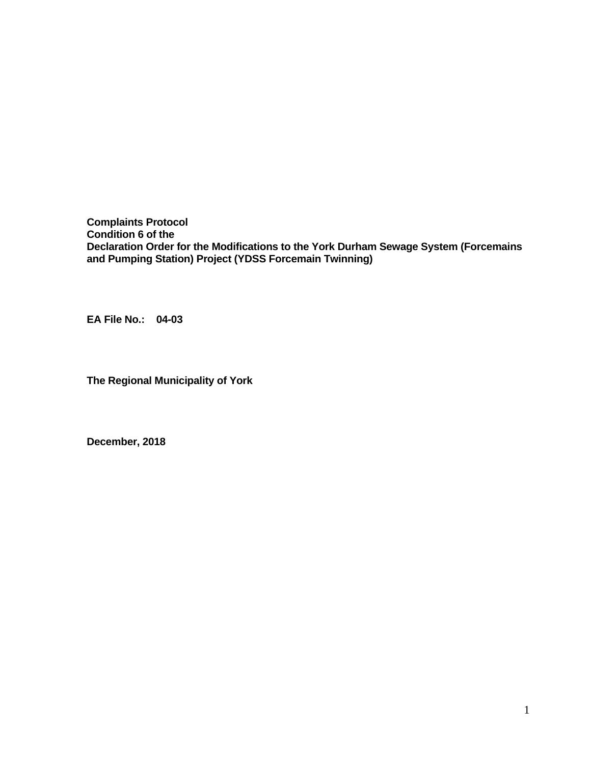**Complaints Protocol Condition 6 of the Declaration Order for the Modifications to the York Durham Sewage System (Forcemains and Pumping Station) Project (YDSS Forcemain Twinning)** 

**EA File No.: 04-03** 

**The Regional Municipality of York** 

**December, 2018**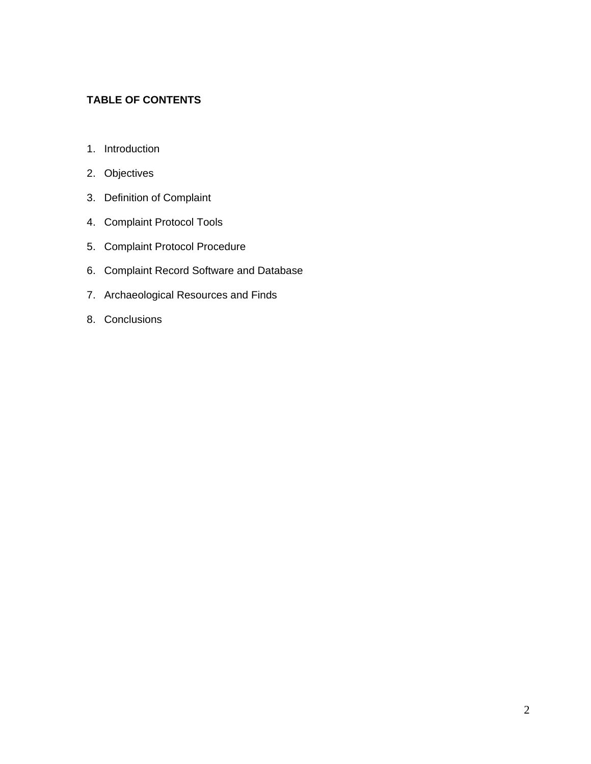### **TABLE OF CONTENTS**

- 1. Introduction
- 2. Objectives
- 3. Definition of Complaint
- 4. Complaint Protocol Tools
- 5. Complaint Protocol Procedure
- 6. Complaint Record Software and Database
- 7. Archaeological Resources and Finds
- 8. Conclusions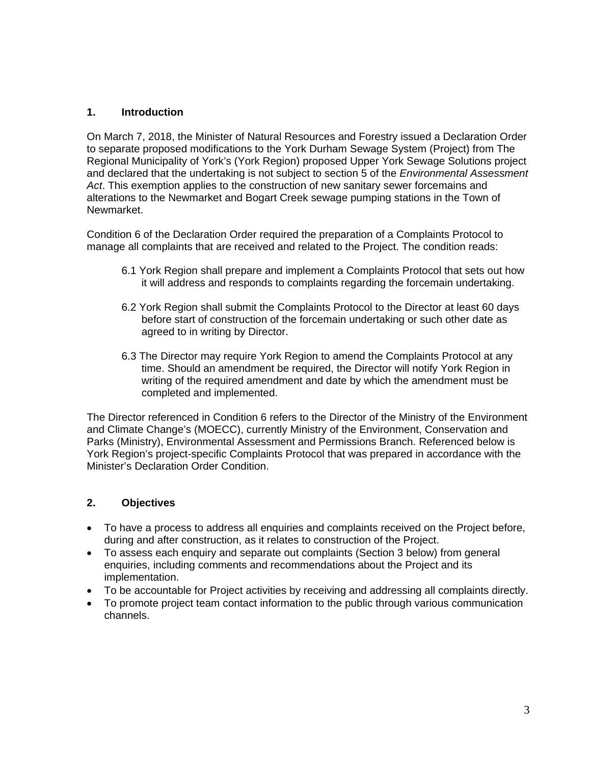### **1. Introduction**

On March 7, 2018, the Minister of Natural Resources and Forestry issued a Declaration Order to separate proposed modifications to the York Durham Sewage System (Project) from The Regional Municipality of York's (York Region) proposed Upper York Sewage Solutions project and declared that the undertaking is not subject to section 5 of the *Environmental Assessment Act*. This exemption applies to the construction of new sanitary sewer forcemains and alterations to the Newmarket and Bogart Creek sewage pumping stations in the Town of Newmarket.

Condition 6 of the Declaration Order required the preparation of a Complaints Protocol to manage all complaints that are received and related to the Project. The condition reads:

- 6.1 York Region shall prepare and implement a Complaints Protocol that sets out how it will address and responds to complaints regarding the forcemain undertaking.
- 6.2 York Region shall submit the Complaints Protocol to the Director at least 60 days before start of construction of the forcemain undertaking or such other date as agreed to in writing by Director.
- 6.3 The Director may require York Region to amend the Complaints Protocol at any time. Should an amendment be required, the Director will notify York Region in writing of the required amendment and date by which the amendment must be completed and implemented.

The Director referenced in Condition 6 refers to the Director of the Ministry of the Environment and Climate Change's (MOECC), currently Ministry of the Environment, Conservation and Parks (Ministry), Environmental Assessment and Permissions Branch. Referenced below is York Region's project-specific Complaints Protocol that was prepared in accordance with the Minister's Declaration Order Condition.

#### **2. Objectives**

- To have a process to address all enquiries and complaints received on the Project before, during and after construction, as it relates to construction of the Project.
- To assess each enquiry and separate out complaints (Section 3 below) from general enquiries, including comments and recommendations about the Project and its implementation.
- To be accountable for Project activities by receiving and addressing all complaints directly.
- To promote project team contact information to the public through various communication channels.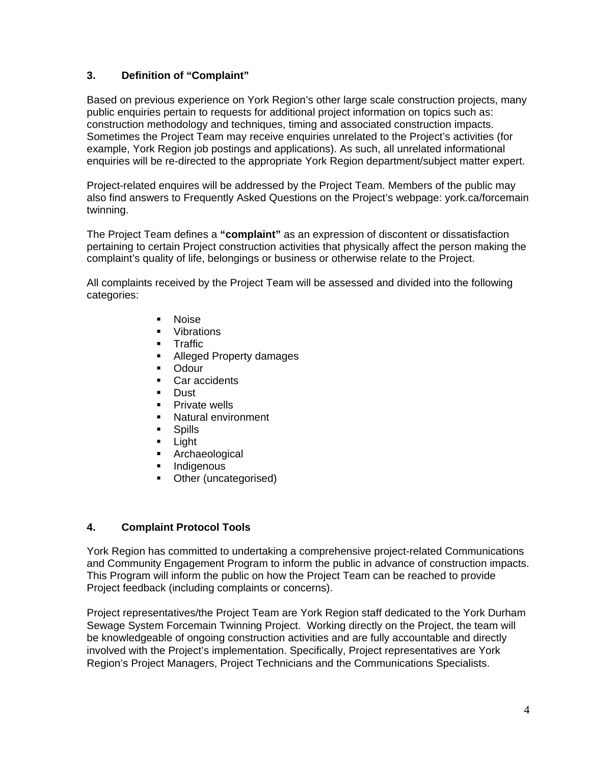### **3. Definition of "Complaint"**

Based on previous experience on York Region's other large scale construction projects, many public enquiries pertain to requests for additional project information on topics such as: construction methodology and techniques, timing and associated construction impacts. Sometimes the Project Team may receive enquiries unrelated to the Project's activities (for example, York Region job postings and applications). As such, all unrelated informational enquiries will be re-directed to the appropriate York Region department/subject matter expert.

Project-related enquires will be addressed by the Project Team. Members of the public may also find answers to Frequently Asked Questions on the Project's webpage: york.ca/forcemain twinning.

The Project Team defines a **"complaint"** as an expression of discontent or dissatisfaction pertaining to certain Project construction activities that physically affect the person making the complaint's quality of life, belongings or business or otherwise relate to the Project.

All complaints received by the Project Team will be assessed and divided into the following categories:

- **Noise**
- Vibrations
- **Traffic**
- Alleged Property damages
- **-** Odour
- Car accidents
- **Dust**
- **Private wells**
- Natural environment
- **Spills**
- **E** Light
- **Archaeological**
- **Indigenous**
- Other (uncategorised)

#### **4. Complaint Protocol Tools**

York Region has committed to undertaking a comprehensive project-related Communications and Community Engagement Program to inform the public in advance of construction impacts. This Program will inform the public on how the Project Team can be reached to provide Project feedback (including complaints or concerns).

Project representatives/the Project Team are York Region staff dedicated to the York Durham Sewage System Forcemain Twinning Project. Working directly on the Project, the team will be knowledgeable of ongoing construction activities and are fully accountable and directly involved with the Project's implementation. Specifically, Project representatives are York Region's Project Managers, Project Technicians and the Communications Specialists.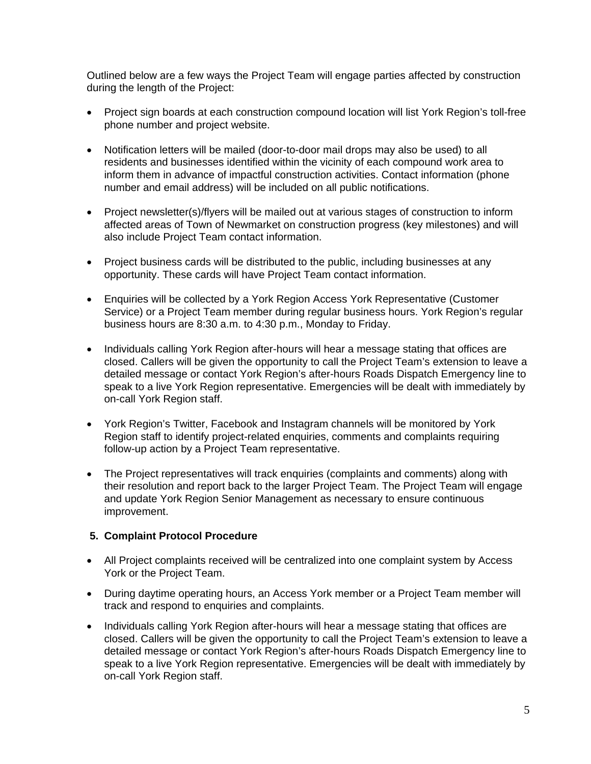Outlined below are a few ways the Project Team will engage parties affected by construction during the length of the Project:

- Project sign boards at each construction compound location will list York Region's toll-free phone number and project website.
- Notification letters will be mailed (door-to-door mail drops may also be used) to all residents and businesses identified within the vicinity of each compound work area to inform them in advance of impactful construction activities. Contact information (phone number and email address) will be included on all public notifications.
- Project newsletter(s)/flyers will be mailed out at various stages of construction to inform affected areas of Town of Newmarket on construction progress (key milestones) and will also include Project Team contact information.
- Project business cards will be distributed to the public, including businesses at any opportunity. These cards will have Project Team contact information.
- Enquiries will be collected by a York Region Access York Representative (Customer Service) or a Project Team member during regular business hours. York Region's regular business hours are 8:30 a.m. to 4:30 p.m., Monday to Friday.
- Individuals calling York Region after-hours will hear a message stating that offices are closed. Callers will be given the opportunity to call the Project Team's extension to leave a detailed message or contact York Region's after-hours Roads Dispatch Emergency line to speak to a live York Region representative. Emergencies will be dealt with immediately by on-call York Region staff.
- York Region's Twitter, Facebook and Instagram channels will be monitored by York Region staff to identify project-related enquiries, comments and complaints requiring follow-up action by a Project Team representative.
- The Project representatives will track enquiries (complaints and comments) along with their resolution and report back to the larger Project Team. The Project Team will engage and update York Region Senior Management as necessary to ensure continuous improvement.

# **5. Complaint Protocol Procedure**

- All Project complaints received will be centralized into one complaint system by Access York or the Project Team.
- During daytime operating hours, an Access York member or a Project Team member will track and respond to enquiries and complaints.
- Individuals calling York Region after-hours will hear a message stating that offices are closed. Callers will be given the opportunity to call the Project Team's extension to leave a detailed message or contact York Region's after-hours Roads Dispatch Emergency line to speak to a live York Region representative. Emergencies will be dealt with immediately by on-call York Region staff.